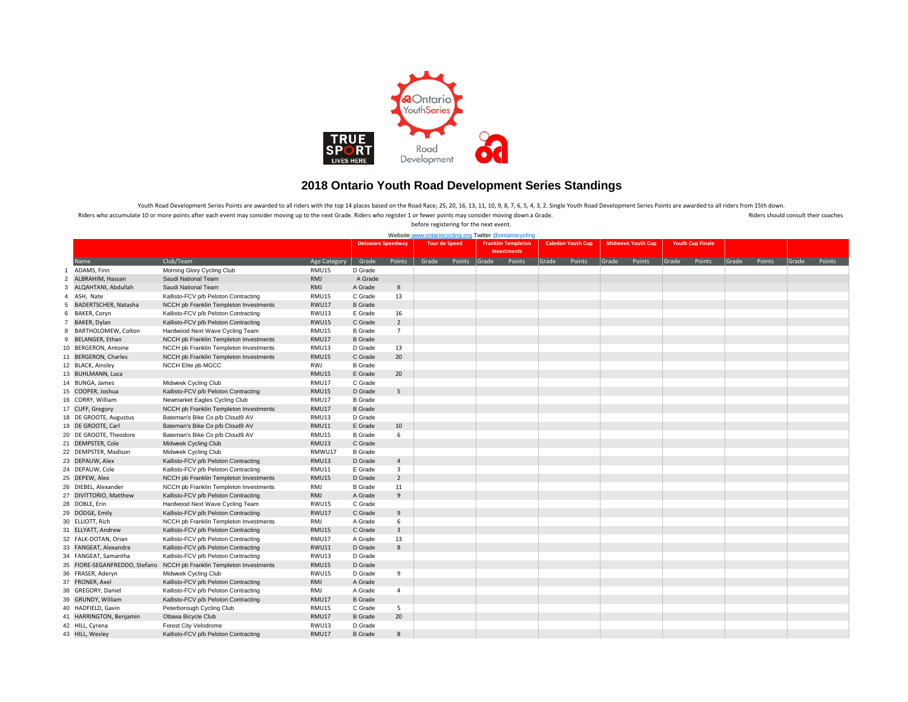

## **2018 Ontario Youth Road Development Series Standings**

Riders who accumulate 10 or more points after each event may consider moving up to the next Grade. Riders who register 1 or fewer points may consider moving down a Grade. And a Riders should consult their coaches before registering for the next event. Youth Road Development Series Points are awarded to all riders with the top 14 places based on the Road Race; 25, 20, 16, 13, 11, 10, 9, 8, 7, 6, 5, 4, 3, 2. Single Youth Road Development Series Points are awarded to all r

|                |                         | Website www.ontariocycling.org Twitter @ontariocycling               |              |                |                                                  |       |                           |                    |        |                          |                          |       |                         |       |        |       |        |       |        |
|----------------|-------------------------|----------------------------------------------------------------------|--------------|----------------|--------------------------------------------------|-------|---------------------------|--------------------|--------|--------------------------|--------------------------|-------|-------------------------|-------|--------|-------|--------|-------|--------|
|                |                         |                                                                      |              |                |                                                  |       |                           |                    |        |                          |                          |       |                         |       |        |       |        |       |        |
|                |                         |                                                                      |              |                | <b>Delaware Speedway</b><br><b>Tour de Speed</b> |       | <b>Franklin Templeton</b> |                    |        | <b>Caledon Youth Cup</b> | <b>Midweek Youth Cup</b> |       | <b>Youth Cup Finale</b> |       |        |       |        |       |        |
|                |                         |                                                                      |              |                |                                                  |       |                           | <b>Investments</b> |        |                          |                          |       |                         |       |        |       |        |       |        |
|                | Name                    | Club/Team                                                            | Age Category | Grade          | Points                                           | Grade | Points                    | Grade              | Points | Grade                    | Points                   | Grade | Points                  | Grade | Points | Grade | Points | Grade | Points |
| $\mathbf{1}$   | ADAMS, Finn             | Morning Glory Cycling Club                                           | RMU15        | D Grade        |                                                  |       |                           |                    |        |                          |                          |       |                         |       |        |       |        |       |        |
| $\overline{2}$ | ALBRAHIM, Hassan        | Saudi National Team                                                  | RMJ          | A Grade        |                                                  |       |                           |                    |        |                          |                          |       |                         |       |        |       |        |       |        |
| 3              | ALQAHTANI, Abdullah     | Saudi National Team                                                  | RMJ          | A Grade        | 8                                                |       |                           |                    |        |                          |                          |       |                         |       |        |       |        |       |        |
| $\overline{4}$ | ASH, Nate               | Kallisto-FCV p/b Peloton Contracting                                 | <b>RMU15</b> | C Grade        | 13                                               |       |                           |                    |        |                          |                          |       |                         |       |        |       |        |       |        |
| 5              | BADERTSCHER, Natasha    | NCCH pb Franklin Templeton Investments                               | <b>RWU17</b> | <b>B</b> Grade |                                                  |       |                           |                    |        |                          |                          |       |                         |       |        |       |        |       |        |
| 6              | BAKER, Coryn            | Kallisto-FCV p/b Peloton Contracting                                 | RWU13        | E Grade        | 16                                               |       |                           |                    |        |                          |                          |       |                         |       |        |       |        |       |        |
|                | 7 BAKER, Dylan          | Kallisto-FCV p/b Peloton Contracting                                 | <b>RWU15</b> | C Grade        | $\overline{2}$                                   |       |                           |                    |        |                          |                          |       |                         |       |        |       |        |       |        |
| 8              | BARTHOLOMEW, Colton     | Hardwood Next Wave Cycling Team                                      | RMU15        | <b>B</b> Grade | $\overline{7}$                                   |       |                           |                    |        |                          |                          |       |                         |       |        |       |        |       |        |
| 9              | <b>BELANGER, Ethan</b>  | NCCH pb Franklin Templeton Investments                               | <b>RMU17</b> | <b>B</b> Grade |                                                  |       |                           |                    |        |                          |                          |       |                         |       |        |       |        |       |        |
|                | 10 BERGERON, Antoine    | NCCH pb Franklin Templeton Investments                               | RMU13        | D Grade        | 13                                               |       |                           |                    |        |                          |                          |       |                         |       |        |       |        |       |        |
|                | 11 BERGERON, Charles    | NCCH pb Franklin Templeton Investments                               | <b>RMU15</b> | C Grade        | 20                                               |       |                           |                    |        |                          |                          |       |                         |       |        |       |        |       |        |
|                | 12 BLACK, Ainsley       | NCCH Elite pb MGCC                                                   | RWJ          | <b>B</b> Grade |                                                  |       |                           |                    |        |                          |                          |       |                         |       |        |       |        |       |        |
|                | 13 BUHLMANN, Luca       |                                                                      | <b>RMU15</b> | E Grade        | 20                                               |       |                           |                    |        |                          |                          |       |                         |       |        |       |        |       |        |
|                | 14 BUNGA, James         | Midweek Cycling Club                                                 | RMU17        | C Grade        |                                                  |       |                           |                    |        |                          |                          |       |                         |       |        |       |        |       |        |
|                | 15 COOPER, Joshua       | Kallisto-FCV p/b Peloton Contracting                                 | <b>RMU15</b> | D Grade        | 5                                                |       |                           |                    |        |                          |                          |       |                         |       |        |       |        |       |        |
|                | 16 CORRY, William       | Newmarket Eagles Cycling Club                                        | RMU17        | <b>B</b> Grade |                                                  |       |                           |                    |        |                          |                          |       |                         |       |        |       |        |       |        |
|                | 17 CUFF, Gregory        | NCCH pb Franklin Templeton Investments                               | RMU17        | <b>B</b> Grade |                                                  |       |                           |                    |        |                          |                          |       |                         |       |        |       |        |       |        |
|                | 18 DE GROOTE, Augustus  | Bateman's Bike Co p/b Cloud9 AV                                      | RMU13        | D Grade        |                                                  |       |                           |                    |        |                          |                          |       |                         |       |        |       |        |       |        |
|                | 19 DE GROOTE, Carl      | Bateman's Bike Co p/b Cloud9 AV                                      | <b>RMU11</b> | E Grade        | 10                                               |       |                           |                    |        |                          |                          |       |                         |       |        |       |        |       |        |
|                | 20 DE GROOTE, Theodore  | Bateman's Bike Co p/b Cloud9 AV                                      | <b>RMU15</b> | <b>B</b> Grade | 6                                                |       |                           |                    |        |                          |                          |       |                         |       |        |       |        |       |        |
|                | 21 DEMPSTER, Cole       | Midweek Cycling Club                                                 | <b>RMU13</b> | C Grade        |                                                  |       |                           |                    |        |                          |                          |       |                         |       |        |       |        |       |        |
|                | 22 DEMPSTER, Madison    | Midweek Cycling Club                                                 | RMWU17       | <b>B</b> Grade |                                                  |       |                           |                    |        |                          |                          |       |                         |       |        |       |        |       |        |
|                | 23 DEPAUW, Alex         | Kallisto-FCV p/b Peloton Contracting                                 | RMU13        | D Grade        | $\overline{4}$                                   |       |                           |                    |        |                          |                          |       |                         |       |        |       |        |       |        |
|                | 24 DEPAUW, Cole         | Kallisto-FCV p/b Peloton Contracting                                 | RMU11        | E Grade        | $\overline{3}$                                   |       |                           |                    |        |                          |                          |       |                         |       |        |       |        |       |        |
|                | 25 DEPEW, Alex          | NCCH pb Franklin Templeton Investments                               | <b>RMU15</b> | D Grade        | $\overline{2}$                                   |       |                           |                    |        |                          |                          |       |                         |       |        |       |        |       |        |
|                | 26 DIEBEL, Alexander    | NCCH pb Franklin Templeton Investments                               | RMJ          | <b>B</b> Grade | 11                                               |       |                           |                    |        |                          |                          |       |                         |       |        |       |        |       |        |
|                | 27 DIVITTORIO, Matthew  | Kallisto-FCV p/b Peloton Contracting                                 | RMJ          | A Grade        | 9                                                |       |                           |                    |        |                          |                          |       |                         |       |        |       |        |       |        |
|                |                         |                                                                      | RWU15        | C Grade        |                                                  |       |                           |                    |        |                          |                          |       |                         |       |        |       |        |       |        |
|                | 28 DOBLE, Erin          | Hardwood Next Wave Cycling Team                                      |              |                | $9\,$                                            |       |                           |                    |        |                          |                          |       |                         |       |        |       |        |       |        |
|                | 29 DODGE, Emily         | Kallisto-FCV p/b Peloton Contracting                                 | <b>RWU17</b> | C Grade        |                                                  |       |                           |                    |        |                          |                          |       |                         |       |        |       |        |       |        |
|                | 30 ELLIOTT, Rich        | NCCH pb Franklin Templeton Investments                               | RMJ          | A Grade        | 6                                                |       |                           |                    |        |                          |                          |       |                         |       |        |       |        |       |        |
|                | 31 ELLYATT, Andrew      | Kallisto-FCV p/b Peloton Contracting                                 | <b>RMU15</b> | C Grade        | $\overline{3}$                                   |       |                           |                    |        |                          |                          |       |                         |       |        |       |        |       |        |
|                | 32 FALK-DOTAN, Orian    | Kallisto-FCV p/b Peloton Contracting                                 | RMU17        | A Grade        | 13                                               |       |                           |                    |        |                          |                          |       |                         |       |        |       |        |       |        |
|                | 33 FANGEAT, Alexandra   | Kallisto-FCV p/b Peloton Contracting                                 | RWU11        | D Grade        | 8                                                |       |                           |                    |        |                          |                          |       |                         |       |        |       |        |       |        |
|                | 34 FANGEAT, Samantha    | Kallisto-FCV p/b Peloton Contracting                                 | RWU13        | D Grade        |                                                  |       |                           |                    |        |                          |                          |       |                         |       |        |       |        |       |        |
|                |                         | 35 FIORE-SEGANFREDDO, Stefano NCCH pb Franklin Templeton Investments | RMU15        | D Grade        |                                                  |       |                           |                    |        |                          |                          |       |                         |       |        |       |        |       |        |
|                | 36 FRASER, Aderyn       | Midweek Cycling Club                                                 | <b>RWU15</b> | D Grade        | 9                                                |       |                           |                    |        |                          |                          |       |                         |       |        |       |        |       |        |
|                | 37 FRONER, Axel         | Kallisto-FCV p/b Peloton Contracting                                 | RMJ          | A Grade        |                                                  |       |                           |                    |        |                          |                          |       |                         |       |        |       |        |       |        |
|                | 38 GREGORY, Daniel      | Kallisto-FCV p/b Peloton Contracting                                 | <b>RMJ</b>   | A Grade        | $\overline{4}$                                   |       |                           |                    |        |                          |                          |       |                         |       |        |       |        |       |        |
|                | 39 GRUNDY, William      | Kallisto-FCV p/b Peloton Contracting                                 | RMU17        | <b>B</b> Grade |                                                  |       |                           |                    |        |                          |                          |       |                         |       |        |       |        |       |        |
|                | 40 HADFIELD, Gavin      | Peterborough Cycling Club                                            | <b>RMU15</b> | C Grade        | 5                                                |       |                           |                    |        |                          |                          |       |                         |       |        |       |        |       |        |
|                | 41 HARRINGTON, Benjamin | Ottawa Bicycle Club                                                  | RMU17        | <b>B</b> Grade | 20                                               |       |                           |                    |        |                          |                          |       |                         |       |        |       |        |       |        |
|                | 42 HILL, Cyrena         | Forest City Velodrome                                                | RWU13        | D Grade        |                                                  |       |                           |                    |        |                          |                          |       |                         |       |        |       |        |       |        |
|                | 43 HILL, Wesley         | Kallisto-FCV p/b Peloton Contracting                                 | RMU17        | <b>B</b> Grade | 8                                                |       |                           |                    |        |                          |                          |       |                         |       |        |       |        |       |        |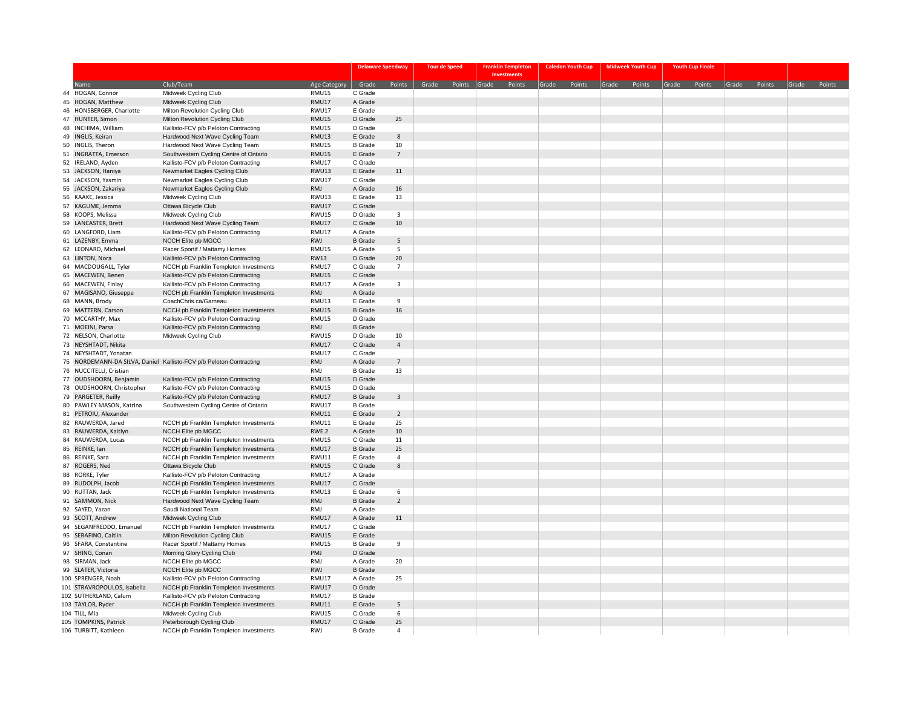|    |                                                      |                                                                                |              | <b>Delaware Speedway</b>  |                | <b>Tour de Speed</b> | <b>Franklin Templeton</b> | <b>Caledon Youth Cup</b> | <b>Midweek Youth Cup</b> | <b>Youth Cup Finale</b> |              |  |              |
|----|------------------------------------------------------|--------------------------------------------------------------------------------|--------------|---------------------------|----------------|----------------------|---------------------------|--------------------------|--------------------------|-------------------------|--------------|--|--------------|
|    |                                                      |                                                                                |              |                           |                |                      | <b>Investments</b>        |                          |                          |                         |              |  |              |
|    | <b>Name</b>                                          | Club/Team                                                                      | Age Category | Grade                     | Points         | Grade Points         | Grade Points              | Grade Points             | Grade Points             | Grade Points            | Grade Points |  | Grade Points |
|    | 44 HOGAN, Connor                                     | Midweek Cycling Club                                                           | RMU15        | C Grade                   |                |                      |                           |                          |                          |                         |              |  |              |
|    | 45 HOGAN, Matthew                                    | Midweek Cycling Club                                                           | RMU17        | A Grade                   |                |                      |                           |                          |                          |                         |              |  |              |
|    | 46 HONSBERGER, Charlotte                             | Milton Revolution Cycling Club                                                 | RWU17        | E Grade                   |                |                      |                           |                          |                          |                         |              |  |              |
|    | 47 HUNTER, Simon                                     | Milton Revolution Cycling Club                                                 | <b>RMU15</b> | D Grade                   | 25             |                      |                           |                          |                          |                         |              |  |              |
|    | 48 INCHIMA, William                                  | Kallisto-FCV p/b Peloton Contracting                                           | RMU15        | D Grade                   |                |                      |                           |                          |                          |                         |              |  |              |
|    | 49 INGLIS, Keiran                                    | Hardwood Next Wave Cycling Team                                                | RMU13        | E Grade                   | 8              |                      |                           |                          |                          |                         |              |  |              |
|    | 50 INGLIS, Theron                                    | Hardwood Next Wave Cycling Team                                                | RMU15        | <b>B</b> Grade            | 10             |                      |                           |                          |                          |                         |              |  |              |
|    | 51 INGRATTA, Emerson                                 | Southwestern Cycling Centre of Ontario                                         | <b>RMU15</b> | E Grade                   | $\overline{7}$ |                      |                           |                          |                          |                         |              |  |              |
|    | 52 IRELAND, Ayden                                    | Kallisto-FCV p/b Peloton Contracting                                           | RMU17        | C Grade                   |                |                      |                           |                          |                          |                         |              |  |              |
|    | 53 JACKSON, Haniya                                   | Newmarket Eagles Cycling Club                                                  | RWU13        | E Grade                   | $11\,$         |                      |                           |                          |                          |                         |              |  |              |
|    | 54 JACKSON, Yasmin                                   | Newmarket Eagles Cycling Club                                                  | RWU17        | C Grade                   |                |                      |                           |                          |                          |                         |              |  |              |
|    | 55 JACKSON, Zakariya                                 | Newmarket Eagles Cycling Club                                                  | RMJ          | A Grade                   | 16             |                      |                           |                          |                          |                         |              |  |              |
|    | 56 KAAKE, Jessica                                    | Midweek Cycling Club                                                           | RWU13        | E Grade                   | 13             |                      |                           |                          |                          |                         |              |  |              |
|    | 57 KAGUME, Jemma                                     | Ottawa Bicycle Club                                                            | RWU17        | C Grade                   |                |                      |                           |                          |                          |                         |              |  |              |
|    | 58 KOOPS, Melissa                                    | Midweek Cycling Club                                                           | RWU15        | D Grade                   | 3              |                      |                           |                          |                          |                         |              |  |              |
|    | 59 LANCASTER, Brett                                  | Hardwood Next Wave Cycling Team                                                | RMU17        | C Grade                   | $10\,$         |                      |                           |                          |                          |                         |              |  |              |
|    | 60 LANGFORD, Liam                                    | Kallisto-FCV p/b Peloton Contracting                                           | RMU17        | A Grade                   |                |                      |                           |                          |                          |                         |              |  |              |
|    | 61 LAZENBY, Emma                                     | NCCH Elite pb MGCC                                                             | RWJ          | <b>B</b> Grade            | 5              |                      |                           |                          |                          |                         |              |  |              |
|    | 62 LEONARD, Michael                                  | Racer Sportif / Mattamy Homes                                                  | RMU15        | A Grade                   | 5              |                      |                           |                          |                          |                         |              |  |              |
|    | 63 LINTON, Nora                                      | Kallisto-FCV p/b Peloton Contracting                                           | <b>RW13</b>  | D Grade                   | 20             |                      |                           |                          |                          |                         |              |  |              |
|    | 64 MACDOUGALL, Tyler                                 | NCCH pb Franklin Templeton Investments                                         | RMU17        | C Grade                   | $\overline{7}$ |                      |                           |                          |                          |                         |              |  |              |
|    | 65 MACEWEN, Benen                                    | Kallisto-FCV p/b Peloton Contracting                                           | <b>RMU15</b> | C Grade                   |                |                      |                           |                          |                          |                         |              |  |              |
|    | 66 MACEWEN, Finlay                                   | Kallisto-FCV p/b Peloton Contracting                                           | RMU17        | A Grade                   | 3              |                      |                           |                          |                          |                         |              |  |              |
|    | 67 MAGISANO, Giuseppe                                | NCCH pb Franklin Templeton Investments                                         | RMJ          | A Grade                   |                |                      |                           |                          |                          |                         |              |  |              |
|    | 68 MANN, Brody                                       | CoachChris.ca/Garneau                                                          | RMU13        | E Grade                   | 9              |                      |                           |                          |                          |                         |              |  |              |
|    | 69 MATTERN, Carson                                   | NCCH pb Franklin Templeton Investments                                         | <b>RMU15</b> | <b>B</b> Grade            | 16             |                      |                           |                          |                          |                         |              |  |              |
|    | 70 MCCARTHY, Max                                     | Kallisto-FCV p/b Peloton Contracting                                           | RMU15        | D Grade                   |                |                      |                           |                          |                          |                         |              |  |              |
|    | 71 MOEINI, Parsa                                     | Kallisto-FCV p/b Peloton Contracting                                           | RMJ          | <b>B</b> Grade            |                |                      |                           |                          |                          |                         |              |  |              |
|    | 72 NELSON, Charlotte                                 | Midweek Cycling Club                                                           | RWU15        | D Grade                   | 10             |                      |                           |                          |                          |                         |              |  |              |
|    | 73 NEYSHTADT, Nikita                                 |                                                                                | RMU17        | C Grade                   | $\overline{4}$ |                      |                           |                          |                          |                         |              |  |              |
|    | 74 NEYSHTADT, Yonatan                                |                                                                                | RMU17        | C Grade                   |                |                      |                           |                          |                          |                         |              |  |              |
|    |                                                      | 75 NORDEMANN-DA SILVA, Daniel Kallisto-FCV p/b Peloton Contracting             | RMJ          | A Grade                   | $\overline{7}$ |                      |                           |                          |                          |                         |              |  |              |
|    | 76 NUCCITELLI, Cristian                              |                                                                                | RMJ          | <b>B</b> Grade            | 13             |                      |                           |                          |                          |                         |              |  |              |
|    | 77 OUDSHOORN, Benjamin                               | Kallisto-FCV p/b Peloton Contracting                                           | RMU15        | D Grade                   |                |                      |                           |                          |                          |                         |              |  |              |
|    | 78 OUDSHOORN, Christopher                            | Kallisto-FCV p/b Peloton Contracting                                           | <b>RMU15</b> | D Grade                   |                |                      |                           |                          |                          |                         |              |  |              |
|    | 79 PARGETER, Reilly                                  | Kallisto-FCV p/b Peloton Contracting                                           | RMU17        | <b>B</b> Grade            | $\mathbf{3}$   |                      |                           |                          |                          |                         |              |  |              |
|    | 80 PAWLEY MASON, Katrina                             | Southwestern Cycling Centre of Ontario                                         | RWU17        | <b>B</b> Grade            |                |                      |                           |                          |                          |                         |              |  |              |
|    | 81 PETROIU, Alexander                                |                                                                                | RMU11        | E Grade                   | $\overline{2}$ |                      |                           |                          |                          |                         |              |  |              |
|    | 82 RAUWERDA, Jared                                   | NCCH pb Franklin Templeton Investments                                         | RMU11        | E Grade                   | 25             |                      |                           |                          |                          |                         |              |  |              |
|    | 83 RAUWERDA, Kaitlyn                                 | NCCH Elite pb MGCC                                                             | RWE.2        | A Grade                   | 10             |                      |                           |                          |                          |                         |              |  |              |
|    | 84 RAUWERDA, Lucas                                   | NCCH pb Franklin Templeton Investments                                         | RMU15        | C Grade                   | 11             |                      |                           |                          |                          |                         |              |  |              |
|    | 85 REINKE, Ian                                       | NCCH pb Franklin Templeton Investments                                         | RMU17        | <b>B</b> Grade            | 25<br>4        |                      |                           |                          |                          |                         |              |  |              |
|    | 86 REINKE, Sara                                      | NCCH pb Franklin Templeton Investments                                         | RWU11        | E Grade                   |                |                      |                           |                          |                          |                         |              |  |              |
|    | 87 ROGERS, Ned                                       | Ottawa Bicycle Club                                                            | <b>RMU15</b> | C Grade                   | 8              |                      |                           |                          |                          |                         |              |  |              |
|    | 88 RORKE, Tyler                                      | Kallisto-FCV p/b Peloton Contracting                                           | RMU17        | A Grade                   |                |                      |                           |                          |                          |                         |              |  |              |
|    | 89 RUDOLPH, Jacob                                    | NCCH pb Franklin Templeton Investments                                         | <b>RMU17</b> | C Grade<br>E Grade        | 6              |                      |                           |                          |                          |                         |              |  |              |
|    | 90 RUTTAN, Jack<br>91 SAMMON, Nick                   | NCCH pb Franklin Templeton Investments                                         | RMU13<br>RMJ | <b>B</b> Grade            | $\overline{2}$ |                      |                           |                          |                          |                         |              |  |              |
|    |                                                      | Hardwood Next Wave Cycling Team                                                |              | A Grade                   |                |                      |                           |                          |                          |                         |              |  |              |
|    | 92 SAYED, Yazan                                      | Saudi National Team                                                            | RMJ          |                           |                |                      |                           |                          |                          |                         |              |  |              |
|    | 93 SCOTT, Andrew                                     | Midweek Cycling Club                                                           | RMU17        | A Grade<br>C Grade        | 11             |                      |                           |                          |                          |                         |              |  |              |
| 94 | SEGANFREDDO, Emanuel                                 | NCCH pb Franklin Templeton Investments                                         | RMU17        |                           |                |                      |                           |                          |                          |                         |              |  |              |
|    | 95 SERAFINO, Caitlin                                 | Milton Revolution Cycling Club                                                 | RWU15        | E Grade                   | 9              |                      |                           |                          |                          |                         |              |  |              |
|    | 96 SFARA, Constantine<br>97 SHING, Conan             | Racer Sportif / Mattamy Homes<br>Morning Glory Cycling Club                    | RMU15<br>PMJ | <b>B</b> Grade<br>D Grade |                |                      |                           |                          |                          |                         |              |  |              |
|    |                                                      |                                                                                | RMJ          | A Grade                   | 20             |                      |                           |                          |                          |                         |              |  |              |
|    | 98 SIRMAN, Jack                                      | NCCH Elite pb MGCC<br>NCCH Elite pb MGCC                                       | RWJ          | <b>B</b> Grade            |                |                      |                           |                          |                          |                         |              |  |              |
|    | 99 SLATER, Victoria<br>100 SPRENGER, Noah            | Kallisto-FCV p/b Peloton Contracting                                           | <b>RMU17</b> | A Grade                   | 25             |                      |                           |                          |                          |                         |              |  |              |
|    |                                                      |                                                                                | RWU17        | D Grade                   |                |                      |                           |                          |                          |                         |              |  |              |
|    | 101 STRAVROPOULOS, Isabella<br>102 SUTHERLAND, Calum | NCCH pb Franklin Templeton Investments<br>Kallisto-FCV p/b Peloton Contracting | <b>RMU17</b> | <b>B</b> Grade            |                |                      |                           |                          |                          |                         |              |  |              |
|    | 103 TAYLOR, Ryder                                    | NCCH pb Franklin Templeton Investments                                         | <b>RMU11</b> | E Grade                   | 5              |                      |                           |                          |                          |                         |              |  |              |
|    | 104 TILL, Mia                                        | Midweek Cycling Club                                                           | RWU15        | C Grade                   | 6              |                      |                           |                          |                          |                         |              |  |              |
|    | 105 TOMPKINS, Patrick                                | Peterborough Cycling Club                                                      | <b>RMU17</b> | C Grade                   | 25             |                      |                           |                          |                          |                         |              |  |              |
|    | 106 TURBITT, Kathleen                                | NCCH pb Franklin Templeton Investments                                         | <b>RWJ</b>   | <b>B</b> Grade            | $\Delta$       |                      |                           |                          |                          |                         |              |  |              |
|    |                                                      |                                                                                |              |                           |                |                      |                           |                          |                          |                         |              |  |              |